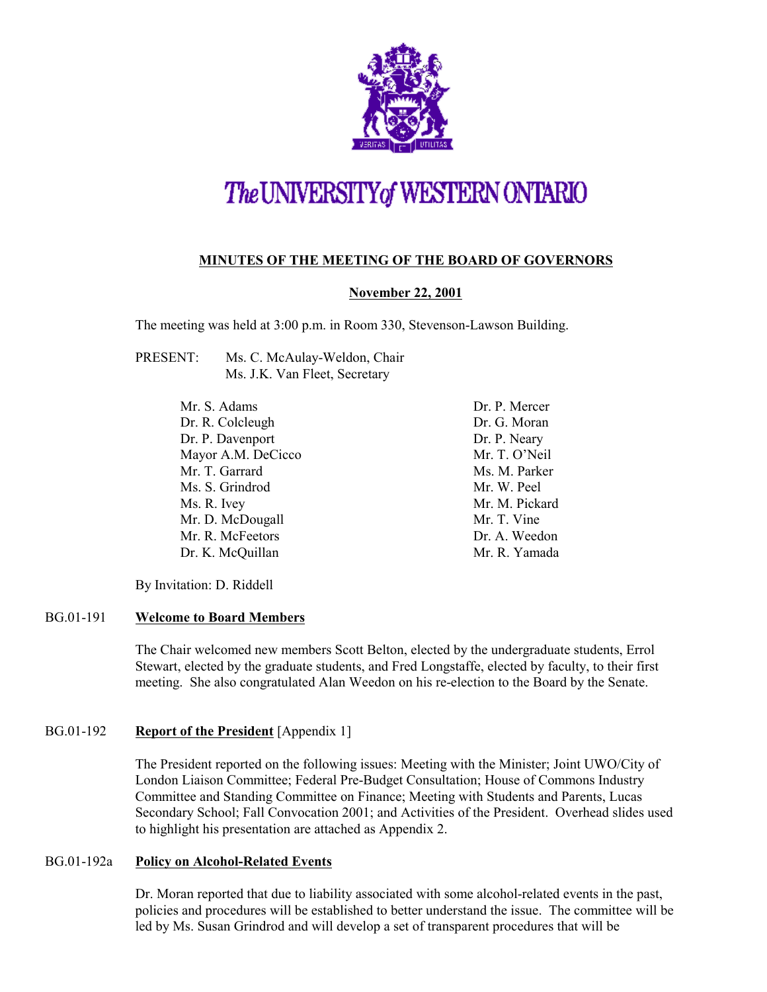

# The UNIVERSITY of WESTERN ONTARIO

## **MINUTES OF THE MEETING OF THE BOARD OF GOVERNORS**

## **November 22, 2001**

The meeting was held at 3:00 p.m. in Room 330, Stevenson-Lawson Building.

- PRESENT: Ms. C. McAulay-Weldon, Chair Ms. J.K. Van Fleet, Secretary
	- Mr. S. Adams Dr. R. Colcleugh Dr. P. Davenport Mayor A.M. DeCicco Mr. T. Garrard Ms. S. Grindrod Ms. R. Ivey Mr. D. McDougall Mr. R. McFeetors Dr. K. McQuillan

Dr. P. Mercer Dr. G. Moran Dr. P. Neary Mr. T. O'Neil Ms. M. Parker Mr. W. Peel Mr. M. Pickard Mr. T. Vine Dr. A. Weedon Mr. R. Yamada

By Invitation: D. Riddell

## BG.01-191 **Welcome to Board Members**

The Chair welcomed new members Scott Belton, elected by the undergraduate students, Errol Stewart, elected by the graduate students, and Fred Longstaffe, elected by faculty, to their first meeting. She also congratulated Alan Weedon on his re-election to the Board by the Senate.

## BG.01-192 **Report of the President** [Appendix 1]

The President reported on the following issues: Meeting with the Minister; Joint UWO/City of London Liaison Committee; Federal Pre-Budget Consultation; House of Commons Industry Committee and Standing Committee on Finance; Meeting with Students and Parents, Lucas Secondary School; Fall Convocation 2001; and Activities of the President. Overhead slides used to highlight his presentation are attached as Appendix 2.

## BG.01-192a **Policy on Alcohol-Related Events**

Dr. Moran reported that due to liability associated with some alcohol-related events in the past, policies and procedures will be established to better understand the issue. The committee will be led by Ms. Susan Grindrod and will develop a set of transparent procedures that will be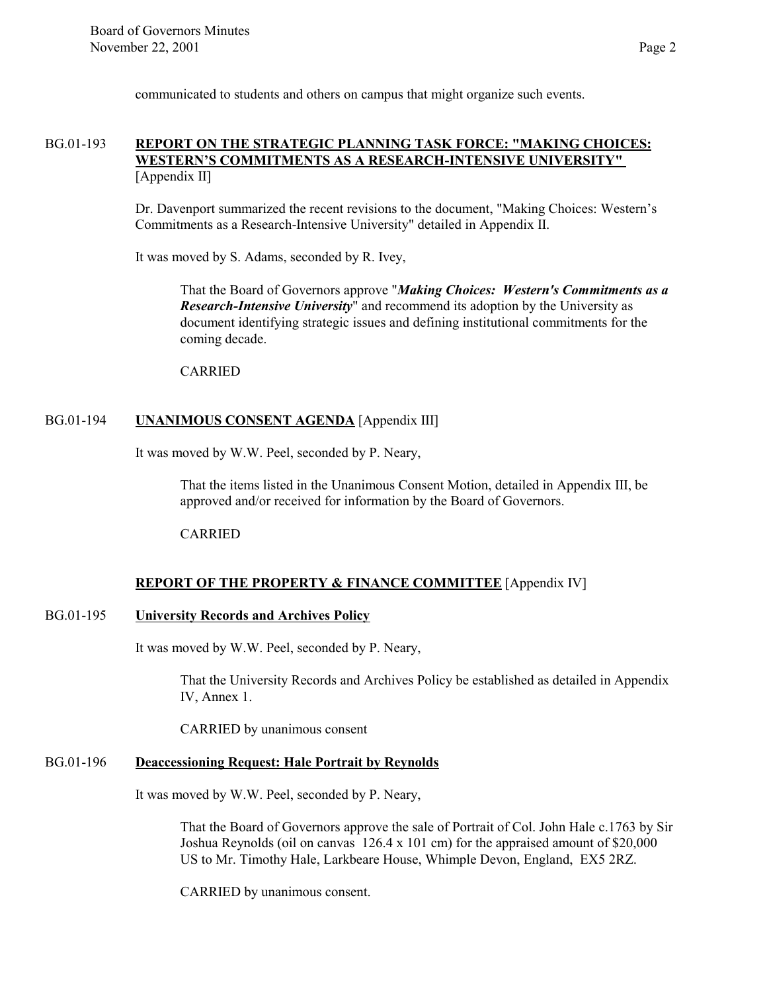communicated to students and others on campus that might organize such events.

## BG.01-193 **REPORT ON THE STRATEGIC PLANNING TASK FORCE: "MAKING CHOICES: WESTERN'S COMMITMENTS AS A RESEARCH-INTENSIVE UNIVERSITY"**  [Appendix II]

Dr. Davenport summarized the recent revisions to the document, "Making Choices: Western's Commitments as a Research-Intensive University" detailed in Appendix II.

It was moved by S. Adams, seconded by R. Ivey,

That the Board of Governors approve "*Making Choices: Western's Commitments as a Research-Intensive University*" and recommend its adoption by the University as document identifying strategic issues and defining institutional commitments for the coming decade.

CARRIED

#### BG.01-194 **UNANIMOUS CONSENT AGENDA** [Appendix III]

It was moved by W.W. Peel, seconded by P. Neary,

That the items listed in the Unanimous Consent Motion, detailed in Appendix III, be approved and/or received for information by the Board of Governors.

CARRIED

## **REPORT OF THE PROPERTY & FINANCE COMMITTEE** [Appendix IV]

#### BG.01-195 **University Records and Archives Policy**

It was moved by W.W. Peel, seconded by P. Neary,

That the University Records and Archives Policy be established as detailed in Appendix IV, Annex 1.

CARRIED by unanimous consent

## BG.01-196 **Deaccessioning Request: Hale Portrait by Reynolds**

It was moved by W.W. Peel, seconded by P. Neary,

That the Board of Governors approve the sale of Portrait of Col. John Hale c.1763 by Sir Joshua Reynolds (oil on canvas 126.4 x 101 cm) for the appraised amount of \$20,000 US to Mr. Timothy Hale, Larkbeare House, Whimple Devon, England, EX5 2RZ.

CARRIED by unanimous consent.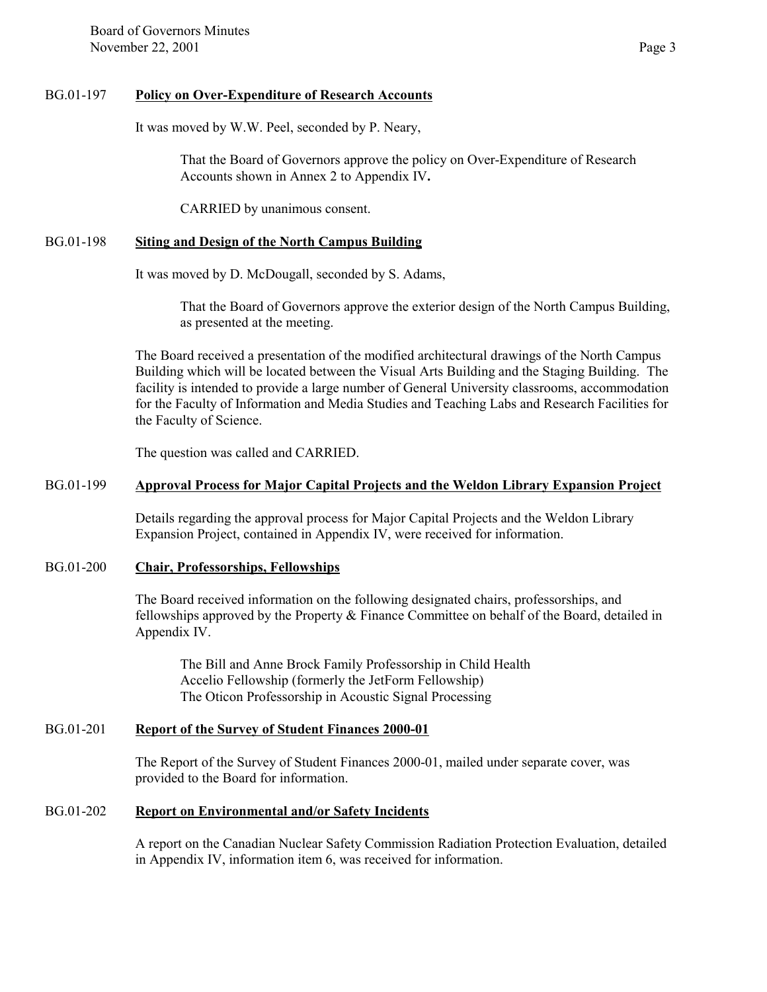#### BG.01-197 **Policy on Over-Expenditure of Research Accounts**

It was moved by W.W. Peel, seconded by P. Neary,

That the Board of Governors approve the policy on Over-Expenditure of Research Accounts shown in Annex 2 to Appendix IV**.**

CARRIED by unanimous consent.

## BG.01-198 **Siting and Design of the North Campus Building**

It was moved by D. McDougall, seconded by S. Adams,

That the Board of Governors approve the exterior design of the North Campus Building, as presented at the meeting.

The Board received a presentation of the modified architectural drawings of the North Campus Building which will be located between the Visual Arts Building and the Staging Building. The facility is intended to provide a large number of General University classrooms, accommodation for the Faculty of Information and Media Studies and Teaching Labs and Research Facilities for the Faculty of Science.

The question was called and CARRIED.

## BG.01-199 **Approval Process for Major Capital Projects and the Weldon Library Expansion Project**

Details regarding the approval process for Major Capital Projects and the Weldon Library Expansion Project, contained in Appendix IV, were received for information.

## BG.01-200 **Chair, Professorships, Fellowships**

The Board received information on the following designated chairs, professorships, and fellowships approved by the Property  $\&$  Finance Committee on behalf of the Board, detailed in Appendix IV.

The Bill and Anne Brock Family Professorship in Child Health Accelio Fellowship (formerly the JetForm Fellowship) The Oticon Professorship in Acoustic Signal Processing

## BG.01-201 **Report of the Survey of Student Finances 2000-01**

The Report of the Survey of Student Finances 2000-01, mailed under separate cover, was provided to the Board for information.

## BG.01-202 **Report on Environmental and/or Safety Incidents**

A report on the Canadian Nuclear Safety Commission Radiation Protection Evaluation, detailed in Appendix IV, information item 6, was received for information.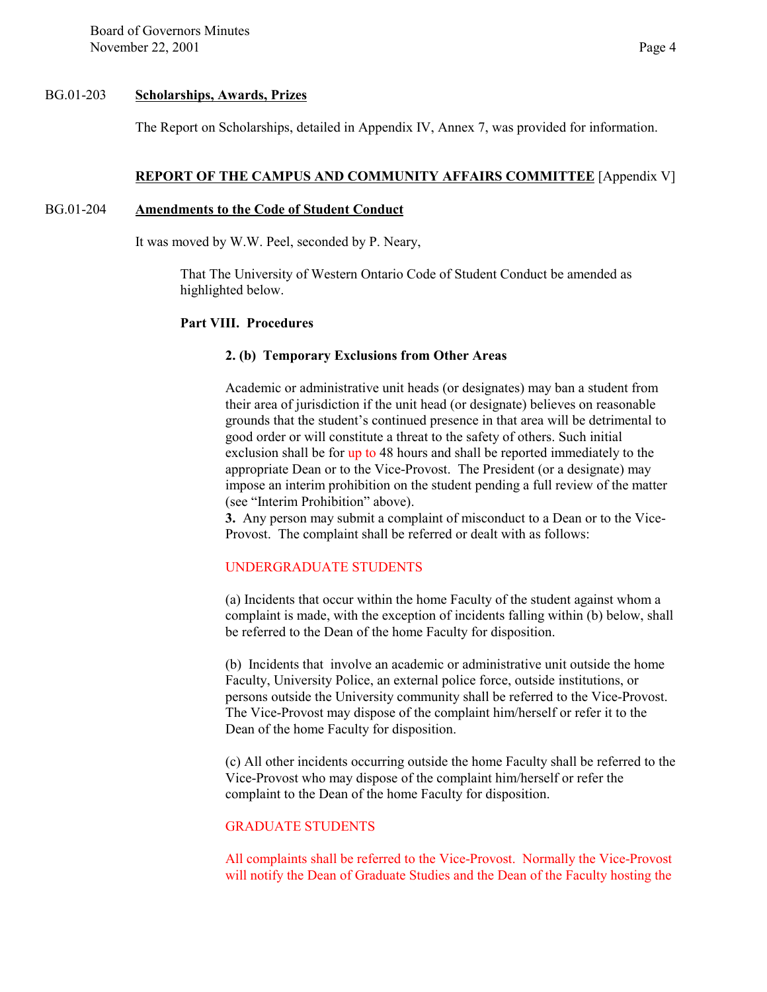Board of Governors Minutes November 22, 2001 Page 4

#### BG.01-203 **Scholarships, Awards, Prizes**

The Report on Scholarships, detailed in Appendix IV, Annex 7, was provided for information.

#### **REPORT OF THE CAMPUS AND COMMUNITY AFFAIRS COMMITTEE** [Appendix V]

#### BG.01-204 **Amendments to the Code of Student Conduct**

It was moved by W.W. Peel, seconded by P. Neary,

That The University of Western Ontario Code of Student Conduct be amended as highlighted below.

#### **Part VIII. Procedures**

#### **2. (b) Temporary Exclusions from Other Areas**

Academic or administrative unit heads (or designates) may ban a student from their area of jurisdiction if the unit head (or designate) believes on reasonable grounds that the student's continued presence in that area will be detrimental to good order or will constitute a threat to the safety of others. Such initial exclusion shall be for up to 48 hours and shall be reported immediately to the appropriate Dean or to the Vice-Provost. The President (or a designate) may impose an interim prohibition on the student pending a full review of the matter (see "Interim Prohibition" above).

**3.** Any person may submit a complaint of misconduct to a Dean or to the Vice-Provost. The complaint shall be referred or dealt with as follows:

#### UNDERGRADUATE STUDENTS

(a) Incidents that occur within the home Faculty of the student against whom a complaint is made, with the exception of incidents falling within (b) below, shall be referred to the Dean of the home Faculty for disposition.

(b) Incidents that involve an academic or administrative unit outside the home Faculty, University Police, an external police force, outside institutions, or persons outside the University community shall be referred to the Vice-Provost. The Vice-Provost may dispose of the complaint him/herself or refer it to the Dean of the home Faculty for disposition.

(c) All other incidents occurring outside the home Faculty shall be referred to the Vice-Provost who may dispose of the complaint him/herself or refer the complaint to the Dean of the home Faculty for disposition.

## GRADUATE STUDENTS

All complaints shall be referred to the Vice-Provost. Normally the Vice-Provost will notify the Dean of Graduate Studies and the Dean of the Faculty hosting the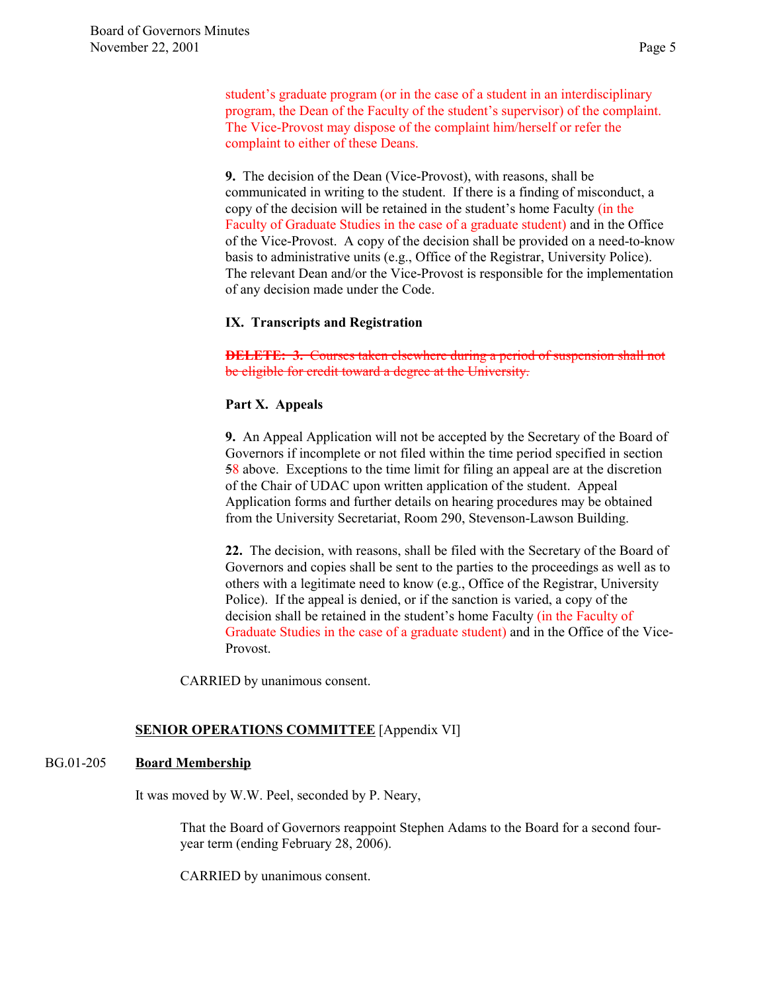student's graduate program (or in the case of a student in an interdisciplinary program, the Dean of the Faculty of the student's supervisor) of the complaint. The Vice-Provost may dispose of the complaint him/herself or refer the complaint to either of these Deans.

**9.** The decision of the Dean (Vice-Provost), with reasons, shall be communicated in writing to the student. If there is a finding of misconduct, a copy of the decision will be retained in the student's home Faculty (in the Faculty of Graduate Studies in the case of a graduate student) and in the Office of the Vice-Provost. A copy of the decision shall be provided on a need-to-know basis to administrative units (e.g., Office of the Registrar, University Police). The relevant Dean and/or the Vice-Provost is responsible for the implementation of any decision made under the Code.

## **IX. Transcripts and Registration**

**DELETE: 3.** Courses taken elsewhere during a period of suspension shall not be eligible for credit toward a degree at the University.

## **Part X. Appeals**

**9.** An Appeal Application will not be accepted by the Secretary of the Board of Governors if incomplete or not filed within the time period specified in section 58 above. Exceptions to the time limit for filing an appeal are at the discretion of the Chair of UDAC upon written application of the student. Appeal Application forms and further details on hearing procedures may be obtained from the University Secretariat, Room 290, Stevenson-Lawson Building.

**22.** The decision, with reasons, shall be filed with the Secretary of the Board of Governors and copies shall be sent to the parties to the proceedings as well as to others with a legitimate need to know (e.g., Office of the Registrar, University Police). If the appeal is denied, or if the sanction is varied, a copy of the decision shall be retained in the student's home Faculty (in the Faculty of Graduate Studies in the case of a graduate student) and in the Office of the Vice-Provost.

CARRIED by unanimous consent.

## **SENIOR OPERATIONS COMMITTEE** [Appendix VI]

## BG.01-205 **Board Membership**

It was moved by W.W. Peel, seconded by P. Neary,

That the Board of Governors reappoint Stephen Adams to the Board for a second fouryear term (ending February 28, 2006).

CARRIED by unanimous consent.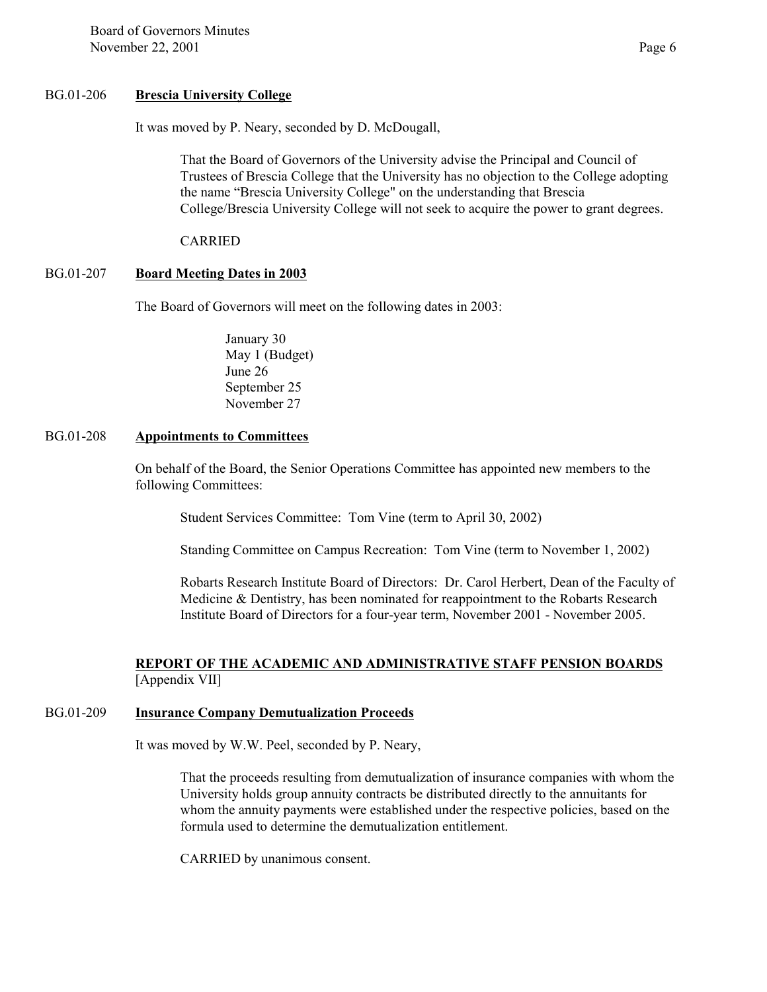#### BG.01-206 **Brescia University College**

It was moved by P. Neary, seconded by D. McDougall,

That the Board of Governors of the University advise the Principal and Council of Trustees of Brescia College that the University has no objection to the College adopting the name "Brescia University College" on the understanding that Brescia College/Brescia University College will not seek to acquire the power to grant degrees.

CARRIED

## BG.01-207 **Board Meeting Dates in 2003**

The Board of Governors will meet on the following dates in 2003:

January 30 May 1 (Budget) June 26 September 25 November 27

#### BG.01-208 **Appointments to Committees**

On behalf of the Board, the Senior Operations Committee has appointed new members to the following Committees:

Student Services Committee: Tom Vine (term to April 30, 2002)

Standing Committee on Campus Recreation: Tom Vine (term to November 1, 2002)

Robarts Research Institute Board of Directors: Dr. Carol Herbert, Dean of the Faculty of Medicine & Dentistry, has been nominated for reappointment to the Robarts Research Institute Board of Directors for a four-year term, November 2001 - November 2005.

## **REPORT OF THE ACADEMIC AND ADMINISTRATIVE STAFF PENSION BOARDS** [Appendix VII]

## BG.01-209 **Insurance Company Demutualization Proceeds**

It was moved by W.W. Peel, seconded by P. Neary,

That the proceeds resulting from demutualization of insurance companies with whom the University holds group annuity contracts be distributed directly to the annuitants for whom the annuity payments were established under the respective policies, based on the formula used to determine the demutualization entitlement.

CARRIED by unanimous consent.